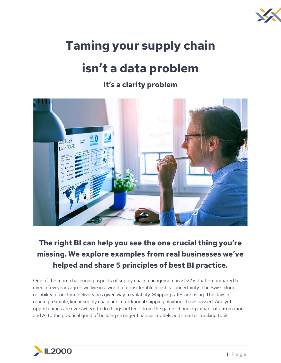

# **Taming your supply chain**

# **isn't a data problem**

### **It's a clarity problem**



## **The right BI can help you see the one crucial thing you're missing. We explore examples from real businesses we've helped and share 5 principles of best BI practice.**

One of the more challenging aspects of supply chain management in 2022 is that — compared to even a few years ago — we live in a world of considerable logistical uncertainty. The Swiss clock reliability of on-time delivery has given way to volatility. Shipping rates are rising. The days of running a simple, linear supply chain and a traditional shipping playbook have passed. And yet, opportunities *are everywhere* to do things better — from the game-changing impact of automation and AI to the practical grind of building stronger financial models and smarter tracking tools.

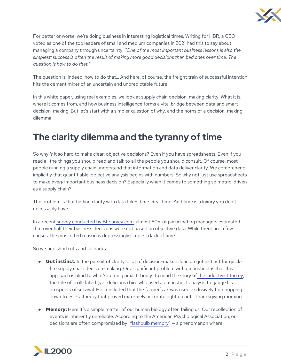

For better or worse, we're doing business in interesting logistical times. Writing for HBR, a CEO voted as one of the top leaders of small and medium companies in 2021 had this to say about managing a company through uncertainty: *"One of the most important business lessons is also the simplest: success is often the result of making more good decisions than bad ones over time. The question is how to do that."*

The question is, indeed, how to do that… And here, of course, the freight train of successful intention hits the cement mixer of an uncertain and unpredictable future.

In this white paper, using real examples, we look at supply chain decision-making clarity: What it is, where it comes from, and how business intelligence forms a vital bridge between data and smart decision-making. But let's start with a simpler question of why, and the horns of a decision-making dilemma.

# **The clarity dilemma and the tyranny of time**

So why *is* it so hard to make clear, objective decisions? Even if you have spreadsheets. Even if you read all the things you should read and talk to all the people you should consult. Of course, most people running a supply chain understand that information and data deliver clarity. We comprehend implicitly that quantifiable, objective analysis begins with numbers. So why not just use spreadsheets to make *every* important business decision? Especially when it comes to something so metric-driven as a supply chain?

The problem is that finding clarity with data takes *time.* Real time. And time is a luxury you don't necessarily have.

In a recent [survey conducted by](https://bi-survey.com/business-decisions-gut-feel) [BI-survey.com,](http://bi-survey.com/) almost 60% of participating managers estimated that over half their business decisions were not based on objective data. While there are a few causes, the most cited reason is depressingly simple: a lack of time.

So we find shortcuts and fallbacks:

- **Gut instinct:** In the pursuit of clarity, a lot of decision-makers lean on gut instinct for quickfire supply chain decision-making. One significant problem with gut instinct is that this approach is blind to what's coming next. It brings to mind the story of [the inductivist turkey,](https://www.timeneye.com/blog/inductivist-turkey-thanksgiving-experience-time-tracking/) the tale of an ill-fated (yet delicious) bird who used a gut instinct analysis to gauge his prospects of survival. He concluded that the farmer's ax was used exclusively for chopping down trees — a theory that proved extremely accurate right up until Thanksgiving morning.
- **Memory:** Here it's a simple matter of our human biology often failing us. Our recollection of events is inherently unreliable. According to the American Psychological Association, our decisions are often compromised by "[flashbulb memory](https://dictionary.apa.org/flashbulb-memory)" — a phenomenon where

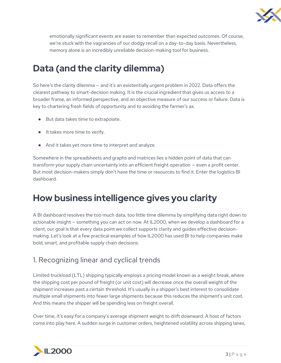

emotionally significant events are easier to remember than expected outcomes. Of course, we're stuck with the vagrancies of our dodgy recall on a day-to-day basis. Nevertheless, memory alone is an incredibly unreliable decision-making tool for business.

# **Data (and the clarity dilemma)**

So here's the clarity dilemma — and it's an existentially urgent problem in 2022. Data offers the clearest pathway to smart-decision making. It is the crucial ingredient that gives us access to a broader frame, an informed perspective, and an objective measure of our success or failure. Data is key to chartering fresh fields of opportunity and to avoiding the farmer's ax.

- But data takes time to extrapolate.
- It takes more time to verify.
- And it takes yet more time to interpret and analyze.

Somewhere in the spreadsheets and graphs and matrices lies a hidden point of data that can transform your supply chain uncertainty into an efficient freight operation — even a profit center. But most decision-makers simply don't have the time or resources to find it. Enter the logistics BI dashboard.

# **How business intelligence gives you clarity**

A BI dashboard resolves the too much data, too little time dilemma by simplifying data right down to actionable insight — something you can act on now. At IL2000, when we develop a dashboard for a client, our goal is that every data point we collect supports clarity and guides effective decisionmaking. Let's look at a few practical examples of how IL2000 has used BI to help companies make bold, smart, and profitable supply chain decisions.

### 1. Recognizing linear and cyclical trends

Limited truckload (LTL) shipping typically employs a pricing model known as a weight break, where the shipping cost per pound of freight (or unit cost) will decrease once the overall weight of the shipment increases past a certain threshold. It's usually in a shipper's best interest to consolidate multiple small shipments into fewer large shipments because this reduces the shipment's unit cost. And this means the shipper will be spending less on freight overall.

Over time, it's easy for a company's average shipment weight to drift downward. A host of factors come into play here. A sudden surge in customer orders, heightened volatility across shipping lanes,

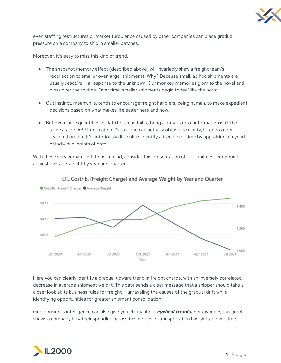

even staffing restructures or market turbulence caused by other companies can place gradual pressure on a company to ship in smaller batches.

Moreover, it's easy to miss this kind of trend.

- The snapshot memory effect (described above) will invariably skew a freight team's recollection to smaller over larger shipments. Why? Because small, ad hoc shipments are usually *reactive* — a response to the unknown. Our monkey memories glom to the novel and gloss over the routine. Over time, smaller shipments begin to *feel* like the norm.
- Gut instinct, meanwhile, tends to encourage freight handlers, being human, to make expedient decisions based on what makes life easier here and now.
- But even large quantities of data here can fail to bring clarity. Lots of information isn't the same as the *right* information. Data alone can actually obfuscate clarity, if for no other reason than that it's notoriously difficult to identify a trend over time by appraising a myriad of individual points of data.

With these very human limitations in mind, consider this presentation of LTL unit cost per pound against average weight by year and quarter:



LTL Cost/lb. (Freight Charge) and Average Weight by Year and Quarter

Here you can clearly identify a gradual upward trend in freight charge, with an inversely correlated decrease in average shipment weight. This data sends a clear message that a shipper should take a closer look at its business rules for freight — unraveling the causes of the gradual drift while identifying opportunities for greater shipment consolidation.

Good business intelligence can also give you clarity about *cyclical trends.* For example, this graph shows a company how their spending across two modes of transportation has shifted over time.

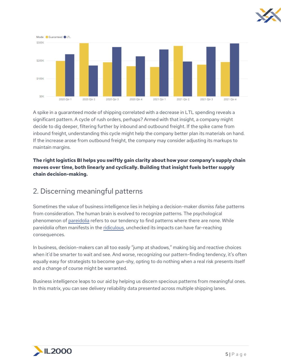



A spike in a guaranteed mode of shipping correlated with a decrease in LTL spending reveals a significant pattern. A cycle of rush orders, perhaps? Armed with that insight, a company might decide to dig deeper, filtering further by inbound and outbound freight. If the spike came from inbound freight, understanding this cycle might help the company better plan its materials on hand. If the increase arose from outbound freight, the company may consider adjusting its markups to maintain margins.

#### **The right logistics BI helps you swiftly gain clarity about how your company's supply chain moves over time, both linearly and cyclically. Building that insight fuels better supply chain decision-making.**

#### 2. Discerning meaningful patterns

Sometimes the value of business intelligence lies in helping a decision-maker dismiss *false* patterns from consideration. The human brain is evolved to recognize patterns. The psychological phenomenon of [pareidolia](https://www.livescience.com/25448-pareidolia.html) refers to our tendency to find patterns where there are none. While pareidolia often manifests in the [ridiculous,](https://www.nbcnews.com/id/wbna6511148) unchecked its impacts can have far-reaching consequences.

In business, decision-makers can all too easily "jump at shadows," making big and reactive choices when it'd be smarter to wait and see. And worse, recognizing our pattern-finding tendency, it's often equally easy for strategists to become gun-shy, opting to do nothing when a real risk presents itself and a change of course might be warranted.

Business intelligence leaps to our aid by helping us discern specious patterns from meaningful ones. In this matrix, you can see delivery reliability data presented across multiple shipping lanes.

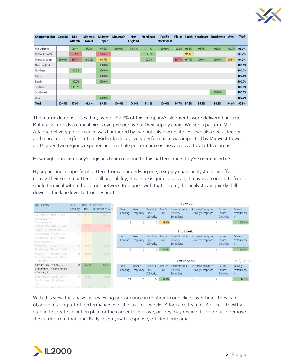

| <b>Shipper Region Canada</b> |        | Mid-<br><b>Atlantic</b> | <b>Midwest</b><br>Lower | <b>Midwest</b><br>Upper | <b>Mountain</b> | <b>New</b><br><b>England</b> | <b>Northeast</b> | <b>Pacific</b><br><b>Northwest</b> | <b>Plains</b> | South |        | Southeast Southwest | West   | <b>Total</b> |
|------------------------------|--------|-------------------------|-------------------------|-------------------------|-----------------|------------------------------|------------------|------------------------------------|---------------|-------|--------|---------------------|--------|--------------|
| Mid-Atlantic                 |        | 98.4%                   | 97.9%                   | 97.5%                   | 100.0%          | 100.0%                       | 97.1%            | 100.0%                             | 100.0%        | 98.2% | 96.7%  | 98.4%               | 100.0% | 98.0%        |
| Midwest Lower                |        | 87.5%                   |                         | 50.0%                   |                 |                              | 100.0%           |                                    |               | 92.9% |        |                     |        | 89.7%        |
| Midwest Upper                | 100.0% | 66.7%                   | 100.0%                  | 91.7%                   |                 |                              | 100.0%           |                                    | 85.7%         | 97.7% | 100.0% | 100.0%              | 90.5%  | 94.7%        |
| New England                  |        |                         |                         | 100.0%                  |                 |                              |                  |                                    |               |       |        |                     |        | 100.0%       |
| Northeast                    |        | 100.0%                  |                         | 100.0%                  |                 |                              |                  |                                    |               |       |        |                     |        | 100.0%       |
| Plains                       |        |                         |                         | 100.0%                  |                 |                              |                  |                                    |               |       |        |                     |        | 100.0%       |
| South                        |        | 100.0%                  |                         | 100.0%                  |                 |                              |                  |                                    |               |       |        |                     |        | 100.0%       |
| Southeast                    |        | 100.0%                  |                         |                         |                 |                              |                  |                                    |               |       |        |                     |        | 100.0%       |
| Southwest                    |        |                         |                         |                         |                 |                              |                  |                                    |               |       |        | 100.0%              |        | 100.0%       |
| West                         |        |                         |                         | 100.0%                  |                 |                              |                  |                                    |               |       |        |                     |        | 100.0%       |
| <b>Total</b>                 | 100.0% | 97.9%                   | 98.1%                   | 95.1%                   | 100.0%          | 100.0%                       | 98.3%            | 100.0%                             | 94.7%         | 97.4% | 96.9%  | 98.5%               | 94.9%  | 97.3%        |

The matrix demonstrates that, overall, 97.3% of this company's shipments were delivered on time. But it also affords a critical bird's eye perspective of their supply chain. We see a pattern: Mid-Atlantic delivery performance was hampered by two notably low results. But we also see a deeper and more meaningful pattern: Mid-Atlantic delivery performance was impacted by Midwest Lower and Upper, two regions experiencing multiple performance issues across a total of five areas.

How might this company's logistics team respond to this pattern once they've recognized it?

By separating a superficial pattern from an underlying one, a supply chain analyst can, in effect, narrow their search pattern. In all probability, this issue is quite localized; it may even originate from a single terminal within the carrier network. Equipped with that insight, the analyst can quickly drill down to the lane level to troubleshoot.

| <b>Full Customer</b>                                                    | Total         |       | Raw On Delivery | Last 4 Weeks      |                              |                                       |                       |                                                 |                                                 |                                         |                              |  |  |
|-------------------------------------------------------------------------|---------------|-------|-----------------|-------------------|------------------------------|---------------------------------------|-----------------------|-------------------------------------------------|-------------------------------------------------|-----------------------------------------|------------------------------|--|--|
|                                                                         | Bookings Time |       | Performance %   | Total             | Weekly                       | Total On<br>Time                      | Raw On                | Uncontrollable<br><b>Delivery</b>               | Shipper/Consignee                               | Carrier<br>Failure                      | Delivery<br>Performance      |  |  |
| 2053246722 - Rozar's Auto<br>Paint Supply, Inc-                         | 234           | 89.3% | 91.9%           |                   | Bookings Frequency           | <b>Deliveries</b>                     | Time                  | Exceptions                                      | <b>Delivery Exceptions</b>                      | <b>Deliveries</b>                       | %                            |  |  |
| Birmingham, AL                                                          |               |       |                 | 6                 |                              | 5 <sup>1</sup>                        | 83.3%                 |                                                 |                                                 |                                         | 100.0%                       |  |  |
| 1117981189 - CTI Industrial<br>Supply - Las Vegas, NV                   | 163           | 73.6% | 79.8%           |                   |                              |                                       |                       | Last 8 Weeks                                    |                                                 |                                         |                              |  |  |
| 5551000100 - Capital Paint -                                            | 161           | 87.6% | 92.5%           |                   |                              |                                       |                       |                                                 |                                                 |                                         |                              |  |  |
| Complex Dr - Baton Rouge -<br>Baton Rouge, LA                           |               |       |                 | Total             | Weekly<br>Bookings Frequency | Total On<br>Time                      | Raw On<br>Time        | Uncontrollable<br><b>Delivery</b>               | Shipper/Consignee<br>Delivery Exceptions        | Carrier<br>Failure                      | Delivery<br>Performance      |  |  |
| 5036252321 - Z Best                                                     | 158           | 88.6% | 93.0%           |                   |                              | <b>Deliveries</b>                     |                       | <b>Exceptions</b>                               |                                                 | <b>Deliveries</b>                       | %                            |  |  |
| Distributing - Sherwood, OR                                             |               |       |                 | 16                | $\overline{2}$               | 15                                    | 93.8%                 |                                                 |                                                 |                                         | 100.0%                       |  |  |
| 8592557717 - Kentucky Auto<br>Body Supplies - Main Billing              | 145           | 88.3% | 91.7%           |                   |                              |                                       |                       |                                                 |                                                 |                                         |                              |  |  |
| - Lexington, KY                                                         |               |       |                 | Last 12 Weeks     |                              |                                       |                       |                                                 |                                                 | A h<br>77<br>Eđ                         |                              |  |  |
| 0035301666 - TCP Global<br>Corporation - South Carolina<br>- Duncan, SC | 136           | 97.8% | 99.3%           | Total<br>Bookings | Weekly<br>Frequency          | Total On<br>Time<br><b>Deliveries</b> | Raw On<br><b>Time</b> | Uncontrollable<br><b>Delivery</b><br>Exceptions | Shipper/Consignee<br><b>Delivery Exceptions</b> | Carrier<br>Failure<br><b>Deliveries</b> | Delivery<br>Performance<br>% |  |  |
| 3335739500 - Capital Paint -<br>San Antonio - San Antonio.<br>TX.       | 134           | 91.8% | 94.8%           | 26                | 2                            | 24                                    | 92.3%                 |                                                 | じ                                               |                                         | 96.2%                        |  |  |

With this view, the analyst is reviewing performance in relation to one client over time. They can observe a tailing off of performance over the last four weeks. A logistics team or 3PL could swiftly step in to create an action plan for the carrier to improve, or they may decide it's prudent to remove the carrier from that lane. Early insight, swift response, efficient outcome.

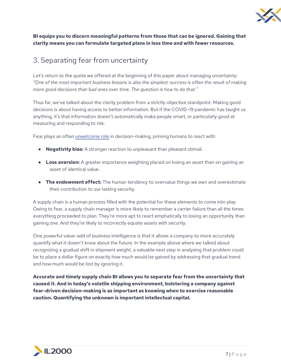

#### **BI equips you to discern meaningful patterns from those that can be ignored. Gaining that clarity means you can formulate targeted plans in less time and with fewer resources.**

#### 3. Separating fear from uncertainty

Let's return to the quote we offered at the beginning of this paper about managing uncertainty: *"One of the most important business lessons is also the simplest: success is often the result of making more good decisions than bad ones over time. The question is how to do that."*

Thus far, we've talked about the clarity problem from a strictly objective standpoint. Making good decisions is about having access to better information. But if the COVID-19 pandemic has taught us anything, it's that information doesn't automatically make people smart, or particularly good at measuring and responding to risk.

Fear plays an often [unwelcome role](https://www.interaction-design.org/literature/article/be-afraid-the-silent-role-of-fear-in-decision-making) in decision-making, priming humans to react with:

- **Negativity bias:** A stronger reaction to unpleasant than pleasant stimuli.
- **Loss aversion:** A greater importance weighting placed on losing an asset than on gaining an asset of identical value.
- **The endowment effect:** The human tendency to overvalue things we own and overestimate their contribution to our lasting security.

A supply chain is a human process filled with the potential for these elements to come into play. Owing to fear, a supply chain manager is more likely to remember a carrier failure than all the times everything proceeded to plan. They're more apt to react emphatically to losing an opportunity than gaining one. And they're likely to incorrectly equate assets with security.

One powerful value-add of business intelligence is that it allows a company to more accurately quantify what it doesn't know about the future. In the example above where we talked about recognizing a gradual shift in shipment weight, a valuable next step in analyzing that problem could be to place a dollar figure on exactly how much would be gained by addressing that gradual trend and how much would be lost by ignoring it.

**Accurate and timely supply chain BI allows you to separate fear from the uncertainty that caused it. And in today's volatile shipping environment, bolstering a company against fear-driven decision-making is as important as knowing when to exercise reasonable caution. Quantifying the unknown is important intellectual capital.**